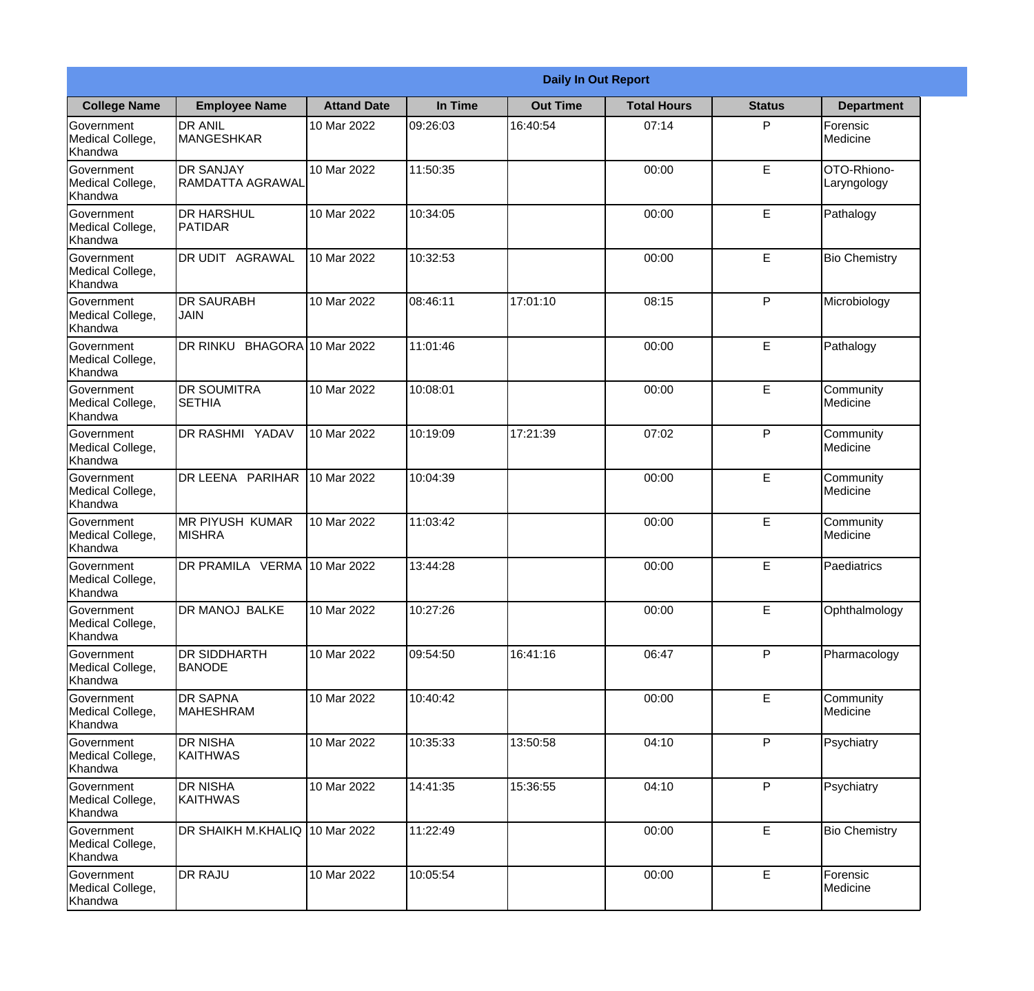|                                                  |                                         | <b>Daily In Out Report</b> |          |                 |                    |               |                            |  |
|--------------------------------------------------|-----------------------------------------|----------------------------|----------|-----------------|--------------------|---------------|----------------------------|--|
| <b>College Name</b>                              | <b>Employee Name</b>                    | <b>Attand Date</b>         | In Time  | <b>Out Time</b> | <b>Total Hours</b> | <b>Status</b> | <b>Department</b>          |  |
| Government<br>Medical College,<br>Khandwa        | <b>DR ANIL</b><br><b>MANGESHKAR</b>     | 10 Mar 2022                | 09:26:03 | 16:40:54        | 07:14              | P             | Forensic<br>Medicine       |  |
| Government<br>Medical College,<br>Khandwa        | <b>DR SANJAY</b><br>RAMDATTA AGRAWAL    | 10 Mar 2022                | 11:50:35 |                 | 00:00              | $\mathsf E$   | OTO-Rhiono-<br>Laryngology |  |
| <b>Government</b><br>Medical College,<br>Khandwa | <b>DR HARSHUL</b><br>PATIDAR            | 10 Mar 2022                | 10:34:05 |                 | 00:00              | E             | Pathalogy                  |  |
| <b>Government</b><br>Medical College,<br>Khandwa | <b>DR UDIT AGRAWAL</b>                  | 10 Mar 2022                | 10:32:53 |                 | 00:00              | E             | <b>Bio Chemistry</b>       |  |
| Government<br>Medical College,<br>Khandwa        | <b>DR SAURABH</b><br><b>JAIN</b>        | 10 Mar 2022                | 08:46:11 | 17:01:10        | 08:15              | P             | Microbiology               |  |
| Government<br>Medical College,<br>Khandwa        | DR RINKU BHAGORA 10 Mar 2022            |                            | 11:01:46 |                 | 00:00              | $\mathsf E$   | Pathalogy                  |  |
| <b>Government</b><br>Medical College,<br>Khandwa | <b>IDR SOUMITRA</b><br><b>SETHIA</b>    | 10 Mar 2022                | 10:08:01 |                 | 00:00              | E             | Community<br>Medicine      |  |
| <b>Government</b><br>Medical College,<br>Khandwa | <b>DR RASHMI YADAV</b>                  | 10 Mar 2022                | 10:19:09 | 17:21:39        | 07:02              | P             | Community<br>Medicine      |  |
| Government<br>Medical College,<br>Khandwa        | <b>DR LEENA PARIHAR</b>                 | 10 Mar 2022                | 10:04:39 |                 | 00:00              | E             | Community<br>Medicine      |  |
| Government<br>Medical College,<br>Khandwa        | <b>MR PIYUSH KUMAR</b><br><b>MISHRA</b> | 10 Mar 2022                | 11:03:42 |                 | 00:00              | E             | Community<br>Medicine      |  |
| Government<br>Medical College,<br>Khandwa        | DR PRAMILA VERMA 10 Mar 2022            |                            | 13:44:28 |                 | 00:00              | E             | Paediatrics                |  |
| Government<br>Medical College,<br>Khandwa        | DR MANOJ BALKE                          | 10 Mar 2022                | 10:27:26 |                 | 00:00              | E             | Ophthalmology              |  |
| Government<br>Medical College,<br>Khandwa        | <b>DR SIDDHARTH</b><br><b>BANODE</b>    | 10 Mar 2022                | 09:54:50 | 16:41:16        | 06:47              | P             | Pharmacology               |  |
| Government<br>Medical College,<br>Khandwa        | <b>DR SAPNA</b><br><b>MAHESHRAM</b>     | 10 Mar 2022                | 10:40:42 |                 | 00:00              | $\mathsf E$   | Community<br>Medicine      |  |
| Government<br>Medical College,<br>Khandwa        | <b>I</b> DR NISHA<br><b>KAITHWAS</b>    | 10 Mar 2022                | 10:35:33 | 13:50:58        | 04:10              | P             | Psychiatry                 |  |
| Government<br>Medical College,<br>Khandwa        | <b>DR NISHA</b><br>KAITHWAS             | 10 Mar 2022                | 14:41:35 | 15:36:55        | 04:10              | P             | Psychiatry                 |  |
| Government<br>Medical College,<br>Khandwa        | DR SHAIKH M.KHALIQ 10 Mar 2022          |                            | 11:22:49 |                 | 00:00              | E             | <b>Bio Chemistry</b>       |  |
| Government<br>Medical College,<br>Khandwa        | <b>DR RAJU</b>                          | 10 Mar 2022                | 10:05:54 |                 | 00:00              | $\mathsf E$   | Forensic<br>Medicine       |  |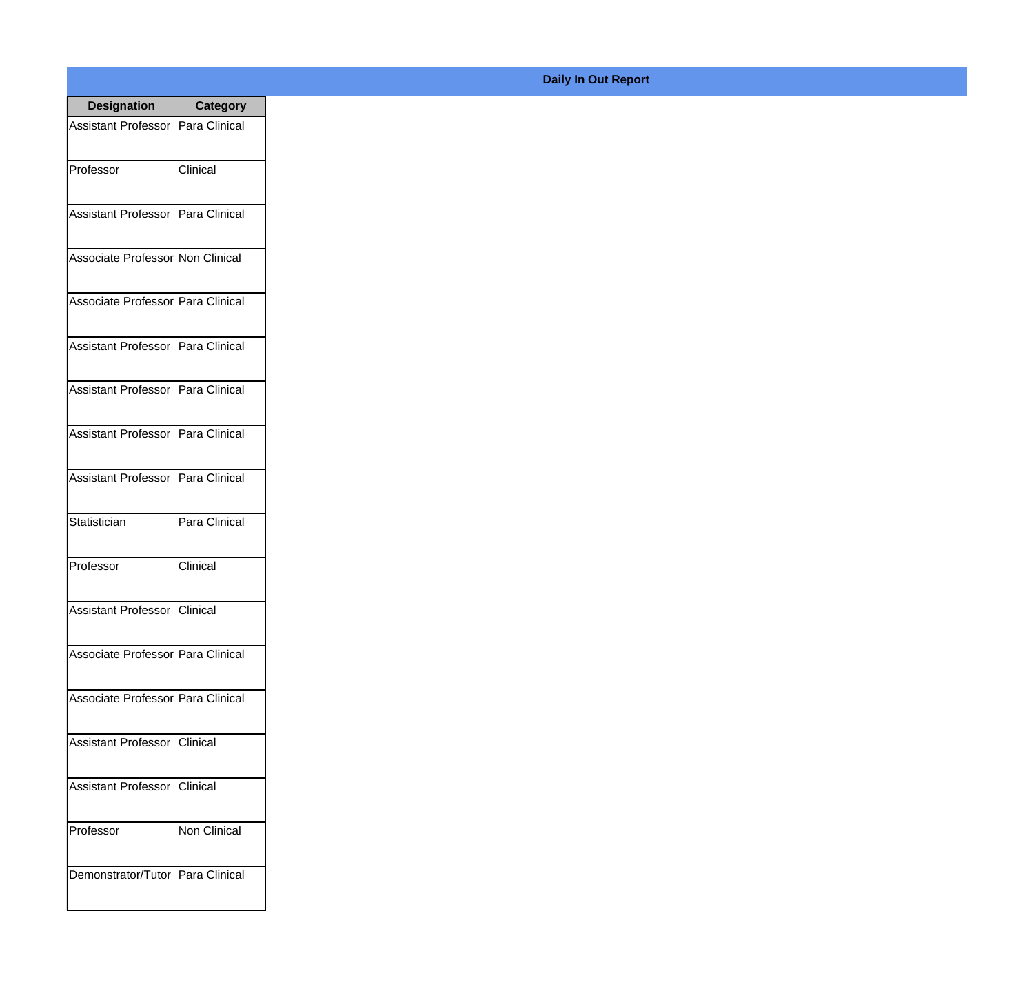| <b>Designation</b>                  | <b>Category</b> |
|-------------------------------------|-----------------|
| Assistant Professor   Para Clinical |                 |
| Professor                           | Clinical        |
| Assistant Professor Para Clinical   |                 |
| Associate Professor Non Clinical    |                 |
| Associate Professor Para Clinical   |                 |
| Assistant Professor   Para Clinical |                 |
| Assistant Professor   Para Clinical |                 |
| Assistant Professor   Para Clinical |                 |
| Assistant Professor   Para Clinical |                 |
| Statistician                        | Para Clinical   |
| Professor                           | Clinical        |
| <b>Assistant Professor Clinical</b> |                 |
| Associate Professor Para Clinical   |                 |
| Associate Professor   Para Clinical |                 |
| Assistant Professor   Clinical      |                 |
| <b>Assistant Professor</b>          | Clinical        |
| Professor                           | Non Clinical    |
| Demonstrator/Tutor   Para Clinical  |                 |

## **Daily In Out Report**